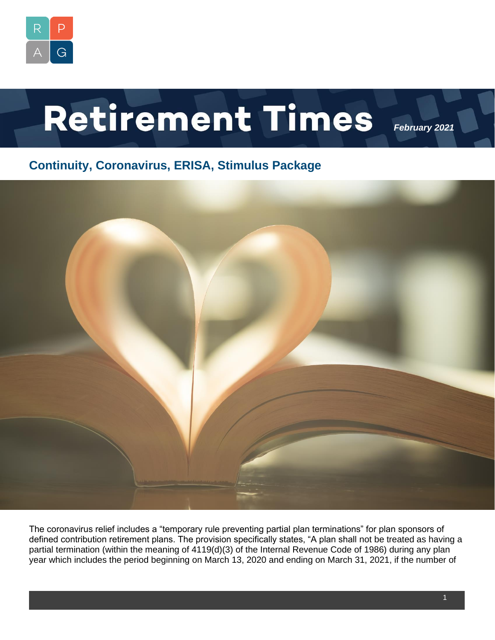

# Retirement Times

*February 2021*

## **Continuity, Coronavirus, ERISA, Stimulus Package**



The coronavirus relief includes a "temporary rule preventing partial plan terminations" for plan sponsors of defined contribution retirement plans. The provision specifically states, "A plan shall not be treated as having a partial termination (within the meaning of 4119(d)(3) of the Internal Revenue Code of 1986) during any plan year which includes the period beginning on March 13, 2020 and ending on March 31, 2021, if the number of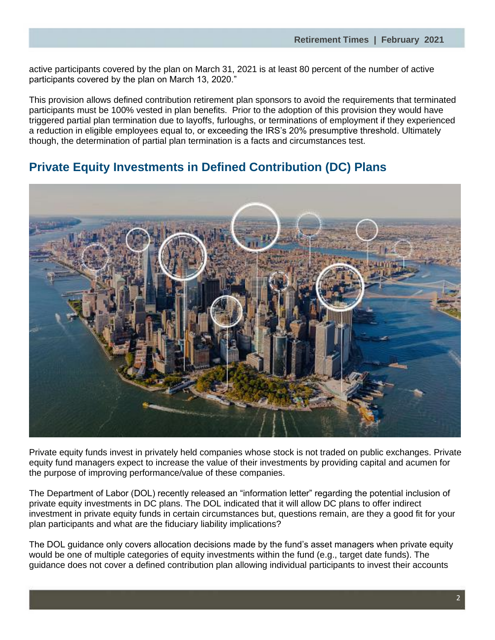active participants covered by the plan on March 31, 2021 is at least 80 percent of the number of active participants covered by the plan on March 13, 2020."

This provision allows defined contribution retirement plan sponsors to avoid the requirements that terminated participants must be 100% vested in plan benefits. Prior to the adoption of this provision they would have triggered partial plan termination due to layoffs, furloughs, or terminations of employment if they experienced a reduction in eligible employees equal to, or exceeding the IRS's 20% presumptive threshold. Ultimately though, the determination of partial plan termination is a facts and circumstances test.

## **Private Equity Investments in Defined Contribution (DC) Plans**



Private equity funds invest in privately held companies whose stock is not traded on public exchanges. Private equity fund managers expect to increase the value of their investments by providing capital and acumen for the purpose of improving performance/value of these companies.

The Department of Labor (DOL) recently released an "information letter" regarding the potential inclusion of private equity investments in DC plans. The DOL indicated that it will allow DC plans to offer indirect investment in private equity funds in certain circumstances but, questions remain, are they a good fit for your plan participants and what are the fiduciary liability implications?

The DOL guidance only covers allocation decisions made by the fund's asset managers when private equity would be one of multiple categories of equity investments within the fund (e.g., target date funds). The guidance does not cover a defined contribution plan allowing individual participants to invest their accounts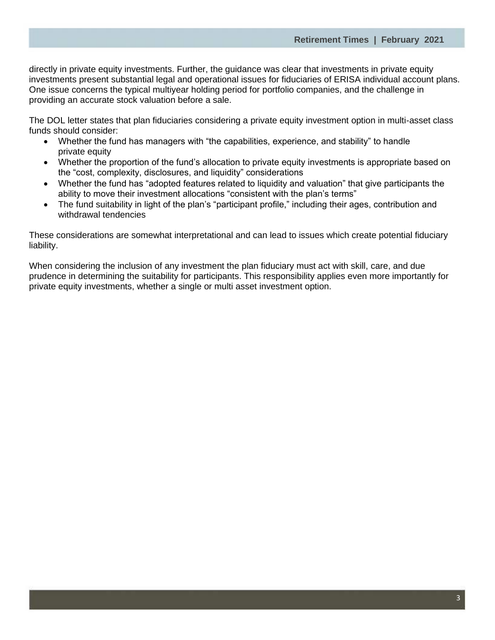directly in private equity investments. Further, the guidance was clear that investments in private equity investments present substantial legal and operational issues for fiduciaries of ERISA individual account plans. One issue concerns the typical multiyear holding period for portfolio companies, and the challenge in providing an accurate stock valuation before a sale.

The DOL letter states that plan fiduciaries considering a private equity investment option in multi-asset class funds should consider:

- Whether the fund has managers with "the capabilities, experience, and stability" to handle private equity
- Whether the proportion of the fund's allocation to private equity investments is appropriate based on the "cost, complexity, disclosures, and liquidity" considerations
- Whether the fund has "adopted features related to liquidity and valuation" that give participants the ability to move their investment allocations "consistent with the plan's terms"
- The fund suitability in light of the plan's "participant profile," including their ages, contribution and withdrawal tendencies

These considerations are somewhat interpretational and can lead to issues which create potential fiduciary liability.

When considering the inclusion of any investment the plan fiduciary must act with skill, care, and due prudence in determining the suitability for participants. This responsibility applies even more importantly for private equity investments, whether a single or multi asset investment option.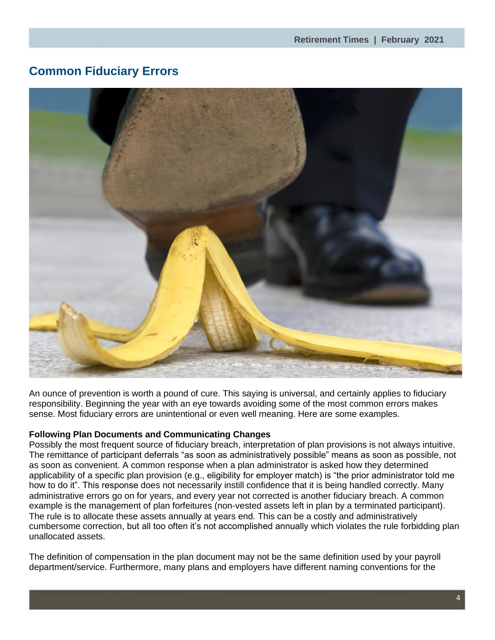## **Common Fiduciary Errors**



An ounce of prevention is worth a pound of cure. This saying is universal, and certainly applies to fiduciary responsibility. Beginning the year with an eye towards avoiding some of the most common errors makes sense. Most fiduciary errors are unintentional or even well meaning. Here are some examples.

#### **Following Plan Documents and Communicating Changes**

Possibly the most frequent source of fiduciary breach, interpretation of plan provisions is not always intuitive. The remittance of participant deferrals "as soon as administratively possible" means as soon as possible, not as soon as convenient. A common response when a plan administrator is asked how they determined applicability of a specific plan provision (e.g., eligibility for employer match) is "the prior administrator told me how to do it". This response does not necessarily instill confidence that it is being handled correctly. Many administrative errors go on for years, and every year not corrected is another fiduciary breach. A common example is the management of plan forfeitures (non-vested assets left in plan by a terminated participant). The rule is to allocate these assets annually at years end. This can be a costly and administratively cumbersome correction, but all too often it's not accomplished annually which violates the rule forbidding plan unallocated assets.

The definition of compensation in the plan document may not be the same definition used by your payroll department/service. Furthermore, many plans and employers have different naming conventions for the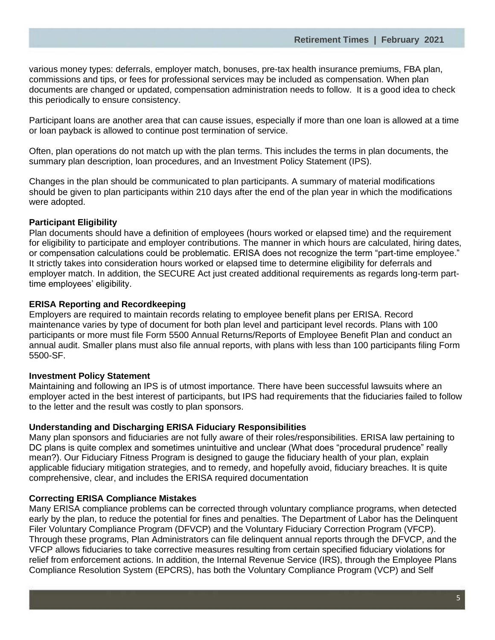various money types: deferrals, employer match, bonuses, pre-tax health insurance premiums, FBA plan, commissions and tips, or fees for professional services may be included as compensation. When plan documents are changed or updated, compensation administration needs to follow. It is a good idea to check this periodically to ensure consistency.

Participant loans are another area that can cause issues, especially if more than one loan is allowed at a time or loan payback is allowed to continue post termination of service.

Often, plan operations do not match up with the plan terms. This includes the terms in plan documents, the summary plan description, loan procedures, and an Investment Policy Statement (IPS).

Changes in the plan should be communicated to plan participants. A summary of material modifications should be given to plan participants within 210 days after the end of the plan year in which the modifications were adopted.

#### **Participant Eligibility**

Plan documents should have a definition of employees (hours worked or elapsed time) and the requirement for eligibility to participate and employer contributions. The manner in which hours are calculated, hiring dates, or compensation calculations could be problematic. ERISA does not recognize the term "part-time employee." It strictly takes into consideration hours worked or elapsed time to determine eligibility for deferrals and employer match. In addition, the SECURE Act just created additional requirements as regards long-term parttime employees' eligibility.

#### **ERISA Reporting and Recordkeeping**

Employers are required to maintain records relating to employee benefit plans per ERISA. Record maintenance varies by type of document for both plan level and participant level records. Plans with 100 participants or more must file Form 5500 Annual Returns/Reports of Employee Benefit Plan and conduct an annual audit. Smaller plans must also file annual reports, with plans with less than 100 participants filing Form 5500-SF.

#### **Investment Policy Statement**

Maintaining and following an IPS is of utmost importance. There have been successful lawsuits where an employer acted in the best interest of participants, but IPS had requirements that the fiduciaries failed to follow to the letter and the result was costly to plan sponsors.

#### **Understanding and Discharging ERISA Fiduciary Responsibilities**

Many plan sponsors and fiduciaries are not fully aware of their roles/responsibilities. ERISA law pertaining to DC plans is quite complex and sometimes unintuitive and unclear (What does "procedural prudence" really mean?). Our Fiduciary Fitness Program is designed to gauge the fiduciary health of your plan, explain applicable fiduciary mitigation strategies, and to remedy, and hopefully avoid, fiduciary breaches. It is quite comprehensive, clear, and includes the ERISA required documentation

#### **Correcting ERISA Compliance Mistakes**

Many ERISA compliance problems can be corrected through voluntary compliance programs, when detected early by the plan, to reduce the potential for fines and penalties. The Department of Labor has the Delinquent Filer Voluntary Compliance Program (DFVCP) and the Voluntary Fiduciary Correction Program (VFCP). Through these programs, Plan Administrators can file delinquent annual reports through the DFVCP, and the VFCP allows fiduciaries to take corrective measures resulting from certain specified fiduciary violations for relief from enforcement actions. In addition, the Internal Revenue Service (IRS), through the Employee Plans Compliance Resolution System (EPCRS), has both the Voluntary Compliance Program (VCP) and Self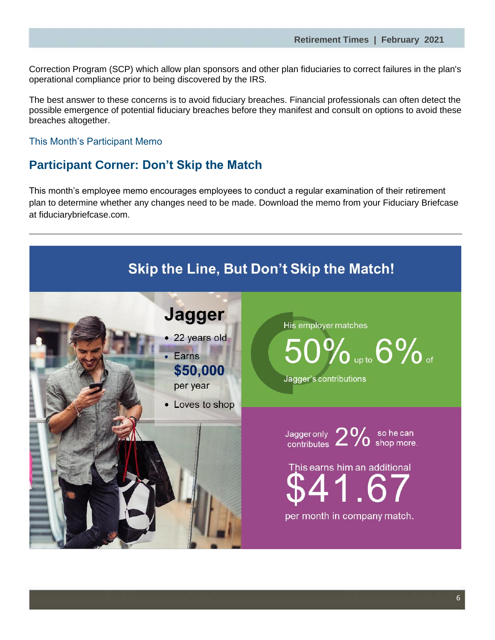Correction Program (SCP) which allow plan sponsors and other plan fiduciaries to correct failures in the plan's operational compliance prior to being discovered by the IRS.

The best answer to these concerns is to avoid fiduciary breaches. Financial professionals can often detect the possible emergence of potential fiduciary breaches before they manifest and consult on options to avoid these breaches altogether.

#### This Month's Participant Memo

### **Participant Corner: Don't Skip the Match**

This month's employee memo encourages employees to conduct a regular examination of their retirement plan to determine whether any changes need to be made. Download the memo from your Fiduciary Briefcase at fiduciarybriefcase.com.